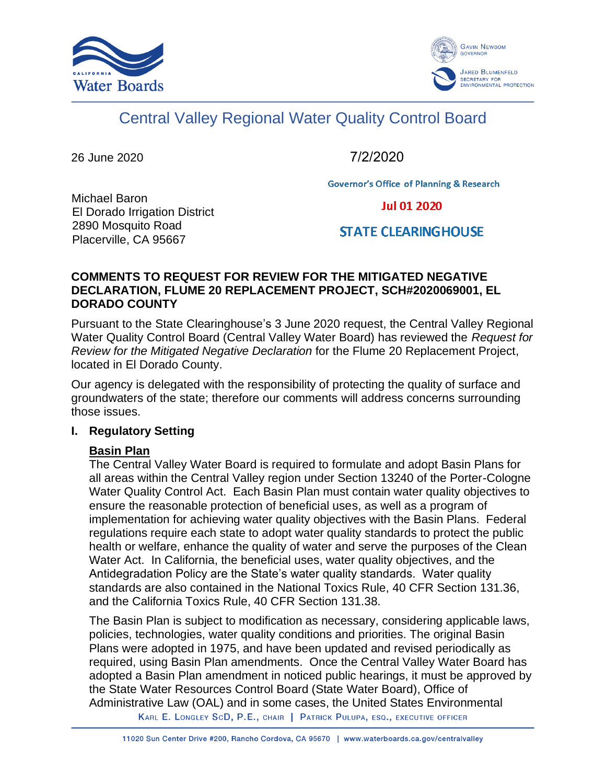



# Central Valley Regional Water Quality Control Board

26 June 2020

7/2/2020

**Governor's Office of Planning & Research** 

Michael Baron El Dorado Irrigation District 2890 Mosquito Road Placerville, CA 95667

**Jul 01 2020** 

## **STATE CLEARING HOUSE**

## **COMMENTS TO REQUEST FOR REVIEW FOR THE MITIGATED NEGATIVE DECLARATION, FLUME 20 REPLACEMENT PROJECT, SCH#2020069001, EL DORADO COUNTY**

Pursuant to the State Clearinghouse's 3 June 2020 request, the Central Valley Regional Water Quality Control Board (Central Valley Water Board) has reviewed the *Request for Review for the Mitigated Negative Declaration* for the Flume 20 Replacement Project, located in El Dorado County.

Our agency is delegated with the responsibility of protecting the quality of surface and groundwaters of the state; therefore our comments will address concerns surrounding those issues.

#### **I. Regulatory Setting**

## **Basin Plan**

The Central Valley Water Board is required to formulate and adopt Basin Plans for all areas within the Central Valley region under Section 13240 of the Porter-Cologne Water Quality Control Act. Each Basin Plan must contain water quality objectives to ensure the reasonable protection of beneficial uses, as well as a program of implementation for achieving water quality objectives with the Basin Plans. Federal regulations require each state to adopt water quality standards to protect the public health or welfare, enhance the quality of water and serve the purposes of the Clean Water Act. In California, the beneficial uses, water quality objectives, and the Antidegradation Policy are the State's water quality standards. Water quality standards are also contained in the National Toxics Rule, 40 CFR Section 131.36, and the California Toxics Rule, 40 CFR Section 131.38.

The Basin Plan is subject to modification as necessary, considering applicable laws, policies, technologies, water quality conditions and priorities. The original Basin Plans were adopted in 1975, and have been updated and revised periodically as required, using Basin Plan amendments. Once the Central Valley Water Board has adopted a Basin Plan amendment in noticed public hearings, it must be approved by the State Water Resources Control Board (State Water Board), Office of Administrative Law (OAL) and in some cases, the United States Environmental

KARL E. LONGLEY SCD, P.E., CHAIR | PATRICK PULUPA, ESQ., EXECUTIVE OFFICER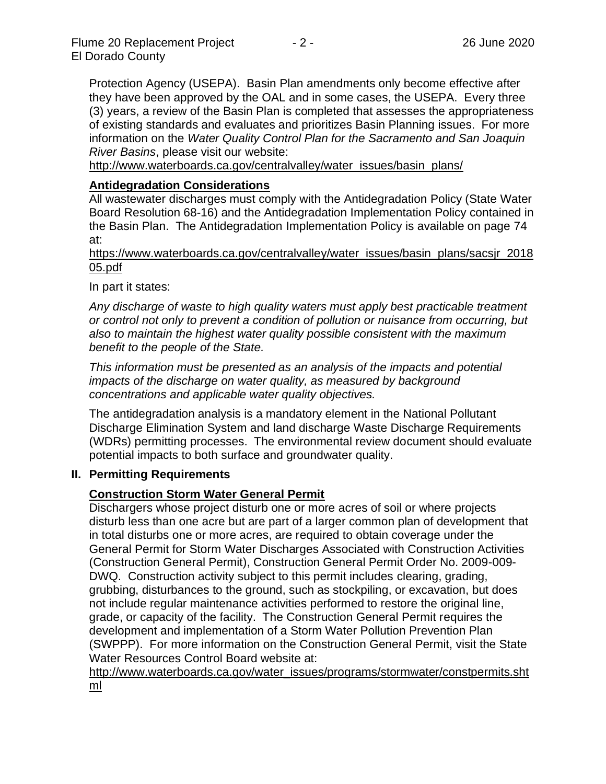Protection Agency (USEPA). Basin Plan amendments only become effective after they have been approved by the OAL and in some cases, the USEPA. Every three (3) years, a review of the Basin Plan is completed that assesses the appropriateness of existing standards and evaluates and prioritizes Basin Planning issues. For more information on the *Water Quality Control Plan for the Sacramento and San Joaquin River Basins*, please visit our website:

[http://www.waterboards.ca.gov/centralvalley/water\\_issues/basin\\_plans/](http://www.waterboards.ca.gov/centralvalley/water_issues/basin_plans/)

## **Antidegradation Considerations**

All wastewater discharges must comply with the Antidegradation Policy (State Water Board Resolution 68-16) and the Antidegradation Implementation Policy contained in the Basin Plan. The Antidegradation Implementation Policy is available on page 74 at:

https://www.waterboards.ca.gov/centralvalley/water\_issues/basin\_plans/sacsjr\_2018 05.pdf

In part it states:

*Any discharge of waste to high quality waters must apply best practicable treatment or control not only to prevent a condition of pollution or nuisance from occurring, but also to maintain the highest water quality possible consistent with the maximum benefit to the people of the State.*

*This information must be presented as an analysis of the impacts and potential impacts of the discharge on water quality, as measured by background concentrations and applicable water quality objectives.*

The antidegradation analysis is a mandatory element in the National Pollutant Discharge Elimination System and land discharge Waste Discharge Requirements (WDRs) permitting processes. The environmental review document should evaluate potential impacts to both surface and groundwater quality.

#### **II. Permitting Requirements**

## **Construction Storm Water General Permit**

Dischargers whose project disturb one or more acres of soil or where projects disturb less than one acre but are part of a larger common plan of development that in total disturbs one or more acres, are required to obtain coverage under the General Permit for Storm Water Discharges Associated with Construction Activities (Construction General Permit), Construction General Permit Order No. 2009-009- DWQ. Construction activity subject to this permit includes clearing, grading, grubbing, disturbances to the ground, such as stockpiling, or excavation, but does not include regular maintenance activities performed to restore the original line, grade, or capacity of the facility. The Construction General Permit requires the development and implementation of a Storm Water Pollution Prevention Plan (SWPPP). For more information on the Construction General Permit, visit the State Water Resources Control Board website at:

[http://www.waterboards.ca.gov/water\\_issues/programs/stormwater/constpermits.sht](http://www.waterboards.ca.gov/water_issues/programs/stormwater/constpermits.shtml) [ml](http://www.waterboards.ca.gov/water_issues/programs/stormwater/constpermits.shtml)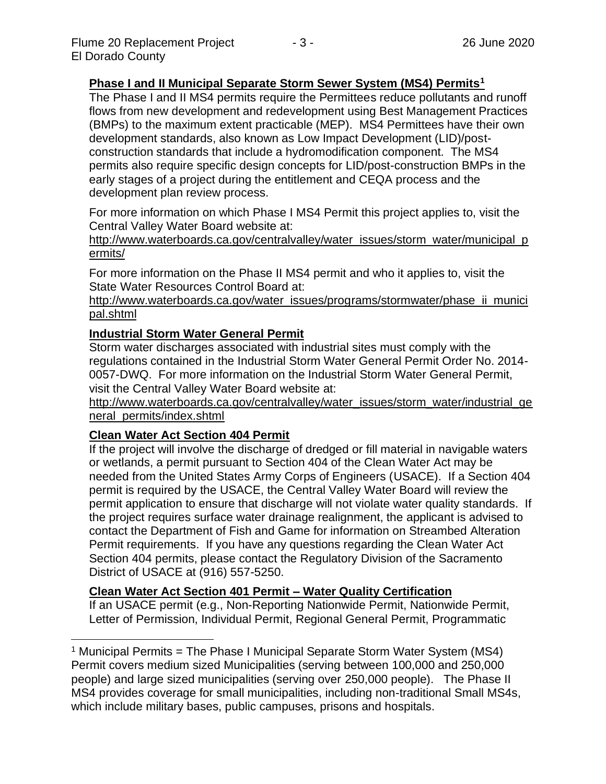## **Phase I and II Municipal Separate Storm Sewer System (MS4) Permits<sup>1</sup>**

The Phase I and II MS4 permits require the Permittees reduce pollutants and runoff flows from new development and redevelopment using Best Management Practices (BMPs) to the maximum extent practicable (MEP). MS4 Permittees have their own development standards, also known as Low Impact Development (LID)/postconstruction standards that include a hydromodification component. The MS4 permits also require specific design concepts for LID/post-construction BMPs in the early stages of a project during the entitlement and CEQA process and the development plan review process.

For more information on which Phase I MS4 Permit this project applies to, visit the Central Valley Water Board website at:

http://www.waterboards.ca.gov/centralvalley/water\_issues/storm\_water/municipal\_p ermits/

For more information on the Phase II MS4 permit and who it applies to, visit the State Water Resources Control Board at:

http://www.waterboards.ca.gov/water\_issues/programs/stormwater/phase\_ii\_munici pal.shtml

#### **Industrial Storm Water General Permit**

Storm water discharges associated with industrial sites must comply with the regulations contained in the Industrial Storm Water General Permit Order No. 2014- 0057-DWQ. For more information on the Industrial Storm Water General Permit, visit the Central Valley Water Board website at:

http://www.waterboards.ca.gov/centralvalley/water\_issues/storm\_water/industrial\_ge neral\_permits/index.shtml

#### **Clean Water Act Section 404 Permit**

If the project will involve the discharge of dredged or fill material in navigable waters or wetlands, a permit pursuant to Section 404 of the Clean Water Act may be needed from the United States Army Corps of Engineers (USACE). If a Section 404 permit is required by the USACE, the Central Valley Water Board will review the permit application to ensure that discharge will not violate water quality standards. If the project requires surface water drainage realignment, the applicant is advised to contact the Department of Fish and Game for information on Streambed Alteration Permit requirements. If you have any questions regarding the Clean Water Act Section 404 permits, please contact the Regulatory Division of the Sacramento District of USACE at (916) 557-5250.

#### **Clean Water Act Section 401 Permit – Water Quality Certification**

If an USACE permit (e.g., Non-Reporting Nationwide Permit, Nationwide Permit, Letter of Permission, Individual Permit, Regional General Permit, Programmatic

<sup>&</sup>lt;sup>1</sup> Municipal Permits = The Phase I Municipal Separate Storm Water System (MS4) Permit covers medium sized Municipalities (serving between 100,000 and 250,000 people) and large sized municipalities (serving over 250,000 people). The Phase II MS4 provides coverage for small municipalities, including non-traditional Small MS4s, which include military bases, public campuses, prisons and hospitals.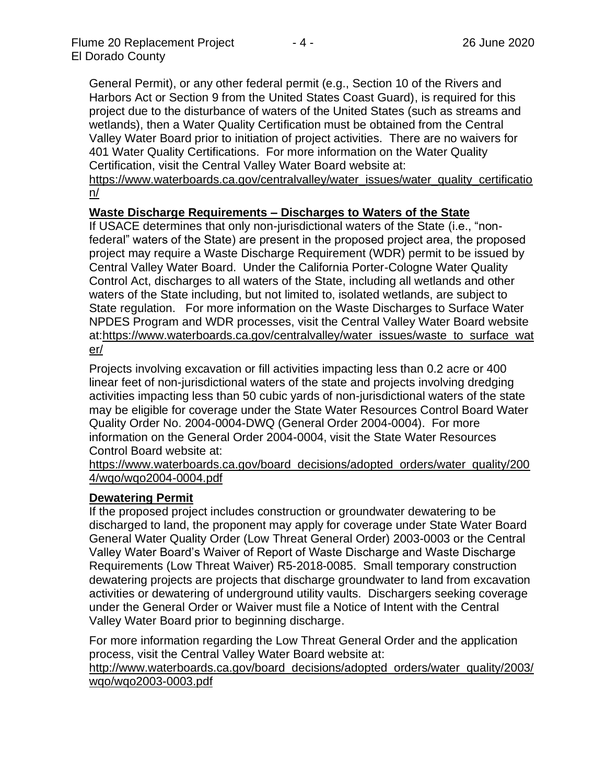General Permit), or any other federal permit (e.g., Section 10 of the Rivers and Harbors Act or Section 9 from the United States Coast Guard), is required for this project due to the disturbance of waters of the United States (such as streams and wetlands), then a Water Quality Certification must be obtained from the Central Valley Water Board prior to initiation of project activities. There are no waivers for 401 Water Quality Certifications. For more information on the Water Quality Certification, visit the Central Valley Water Board website at:

https://www.waterboards.ca.gov/centralvalley/water\_issues/water\_quality\_certificatio n/

#### **Waste Discharge Requirements – Discharges to Waters of the State**

If USACE determines that only non-jurisdictional waters of the State (i.e., "nonfederal" waters of the State) are present in the proposed project area, the proposed project may require a Waste Discharge Requirement (WDR) permit to be issued by Central Valley Water Board. Under the California Porter-Cologne Water Quality Control Act, discharges to all waters of the State, including all wetlands and other waters of the State including, but not limited to, isolated wetlands, are subject to State regulation. For more information on the Waste Discharges to Surface Water NPDES Program and WDR processes, visit the Central Valley Water Board website at:https://www.waterboards.ca.gov/centralvalley/water\_issues/waste\_to\_surface\_wat er/

Projects involving excavation or fill activities impacting less than 0.2 acre or 400 linear feet of non-jurisdictional waters of the state and projects involving dredging activities impacting less than 50 cubic yards of non-jurisdictional waters of the state may be eligible for coverage under the State Water Resources Control Board Water Quality Order No. 2004-0004-DWQ (General Order 2004-0004). For more information on the General Order 2004-0004, visit the State Water Resources Control Board website at:

https://www.waterboards.ca.gov/board\_decisions/adopted\_orders/water\_quality/200 4/wqo/wqo2004-0004.pdf

#### **Dewatering Permit**

If the proposed project includes construction or groundwater dewatering to be discharged to land, the proponent may apply for coverage under State Water Board General Water Quality Order (Low Threat General Order) 2003-0003 or the Central Valley Water Board's Waiver of Report of Waste Discharge and Waste Discharge Requirements (Low Threat Waiver) R5-2018-0085. Small temporary construction dewatering projects are projects that discharge groundwater to land from excavation activities or dewatering of underground utility vaults. Dischargers seeking coverage under the General Order or Waiver must file a Notice of Intent with the Central Valley Water Board prior to beginning discharge.

For more information regarding the Low Threat General Order and the application process, visit the Central Valley Water Board website at:

http://www.waterboards.ca.gov/board decisions/adopted orders/water quality/2003/ wqo/wqo2003-0003.pdf